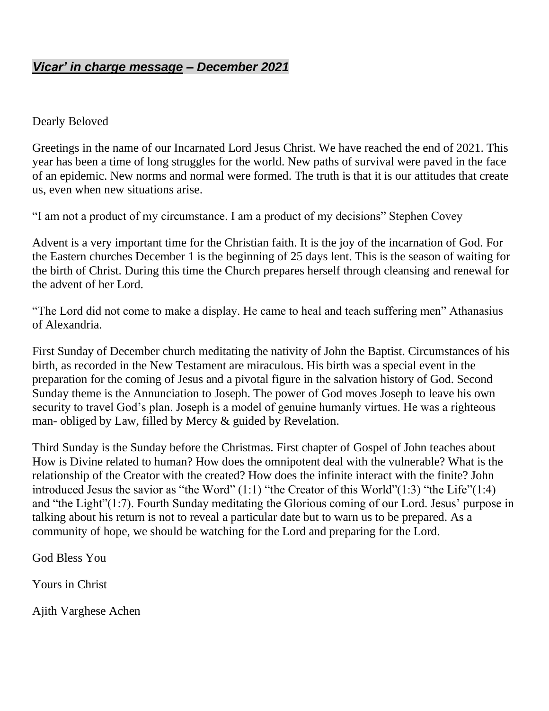#### *Vicar' in charge message – December 2021*

#### Dearly Beloved

Greetings in the name of our Incarnated Lord Jesus Christ. We have reached the end of 2021. This year has been a time of long struggles for the world. New paths of survival were paved in the face of an epidemic. New norms and normal were formed. The truth is that it is our attitudes that create us, even when new situations arise.

"I am not a product of my circumstance. I am a product of my decisions" Stephen Covey

Advent is a very important time for the Christian faith. It is the joy of the incarnation of God. For the Eastern churches December 1 is the beginning of 25 days lent. This is the season of waiting for the birth of Christ. During this time the Church prepares herself through cleansing and renewal for the advent of her Lord.

"The Lord did not come to make a display. He came to heal and teach suffering men" Athanasius of Alexandria.

First Sunday of December church meditating the nativity of John the Baptist. Circumstances of his birth, as recorded in the New Testament are miraculous. His birth was a special event in the preparation for the coming of Jesus and a pivotal figure in the salvation history of God. Second Sunday theme is the Annunciation to Joseph. The power of God moves Joseph to leave his own security to travel God's plan. Joseph is a model of genuine humanly virtues. He was a righteous man- obliged by Law, filled by Mercy & guided by Revelation.

Third Sunday is the Sunday before the Christmas. First chapter of Gospel of John teaches about How is Divine related to human? How does the omnipotent deal with the vulnerable? What is the relationship of the Creator with the created? How does the infinite interact with the finite? John introduced Jesus the savior as "the Word" (1:1) "the Creator of this World"(1:3) "the Life"(1:4) and "the Light"(1:7). Fourth Sunday meditating the Glorious coming of our Lord. Jesus' purpose in talking about his return is not to reveal a particular date but to warn us to be prepared. As a community of hope, we should be watching for the Lord and preparing for the Lord.

God Bless You

Yours in Christ

Ajith Varghese Achen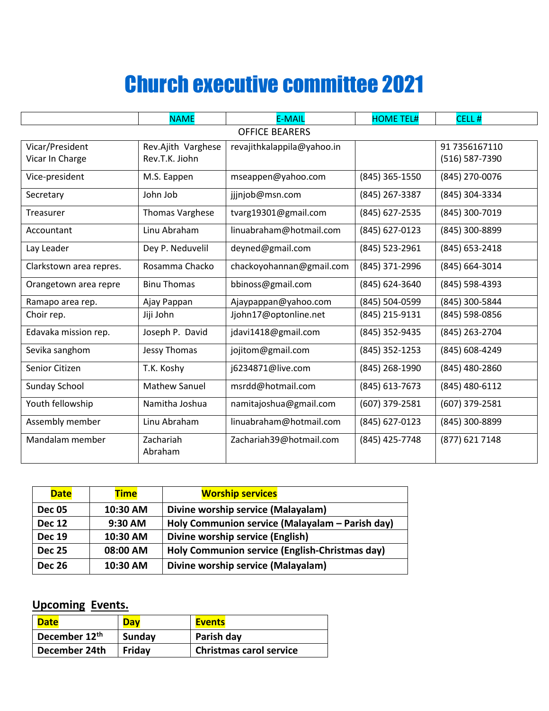## Church executive committee 2021

|                         | <b>NAME</b>            | <b>E-MAIL</b>              | <b>HOME TEL#</b> | CELL#          |  |  |
|-------------------------|------------------------|----------------------------|------------------|----------------|--|--|
| <b>OFFICE BEARERS</b>   |                        |                            |                  |                |  |  |
| Vicar/President         | Rev.Ajith Varghese     | revajithkalappila@yahoo.in |                  | 91 7356167110  |  |  |
| Vicar In Charge         | Rev.T.K. Jiohn         |                            |                  | (516) 587-7390 |  |  |
| Vice-president          | M.S. Eappen            | mseappen@yahoo.com         | (845) 365-1550   | (845) 270-0076 |  |  |
| Secretary               | John Job               | jjjnjob@msn.com            | (845) 267-3387   | (845) 304-3334 |  |  |
| Treasurer               | <b>Thomas Varghese</b> | tvarg19301@gmail.com       | (845) 627-2535   | (845) 300-7019 |  |  |
| Accountant              | Linu Abraham           | linuabraham@hotmail.com    | (845) 627-0123   | (845) 300-8899 |  |  |
| Lay Leader              | Dey P. Neduvelil       | deyned@gmail.com           | (845) 523-2961   | (845) 653-2418 |  |  |
| Clarkstown area repres. | Rosamma Chacko         | chackoyohannan@gmail.com   | (845) 371-2996   | (845) 664-3014 |  |  |
| Orangetown area repre   | <b>Binu Thomas</b>     | bbinoss@gmail.com          | (845) 624-3640   | (845) 598-4393 |  |  |
| Ramapo area rep.        | Ajay Pappan            | Ajaypappan@yahoo.com       | (845) 504-0599   | (845) 300-5844 |  |  |
| Choir rep.              | Jiji John              | Jjohn17@optonline.net      | (845) 215-9131   | (845) 598-0856 |  |  |
| Edavaka mission rep.    | Joseph P. David        | jdavi1418@gmail.com        | (845) 352-9435   | (845) 263-2704 |  |  |
| Sevika sanghom          | Jessy Thomas           | jojitom@gmail.com          | (845) 352-1253   | (845) 608-4249 |  |  |
| Senior Citizen          | T.K. Koshy             | j6234871@live.com          | (845) 268-1990   | (845) 480-2860 |  |  |
| Sunday School           | <b>Mathew Sanuel</b>   | msrdd@hotmail.com          | (845) 613-7673   | (845) 480-6112 |  |  |
| Youth fellowship        | Namitha Joshua         | namitajoshua@gmail.com     | (607) 379-2581   | (607) 379-2581 |  |  |
| Assembly member         | Linu Abraham           | linuabraham@hotmail.com    | (845) 627-0123   | (845) 300-8899 |  |  |
| Mandalam member         | Zachariah<br>Abraham   | Zachariah39@hotmail.com    | (845) 425-7748   | (877) 621 7148 |  |  |

| <b>Date</b>   | <b>Time</b> | <b>Worship services</b>                         |  |  |
|---------------|-------------|-------------------------------------------------|--|--|
| <b>Dec 05</b> | 10:30 AM    | Divine worship service (Malayalam)              |  |  |
| <b>Dec 12</b> | $9:30$ AM   | Holy Communion service (Malayalam - Parish day) |  |  |
| <b>Dec 19</b> | 10:30 AM    | Divine worship service (English)                |  |  |
| <b>Dec 25</b> | 08:00 AM    | Holy Communion service (English-Christmas day)  |  |  |
| <b>Dec 26</b> | 10:30 AM    | Divine worship service (Malayalam)              |  |  |

#### **Upcoming Events.**

| <b>Date</b>               | <b>Dav</b> | <b>Events</b>                  |
|---------------------------|------------|--------------------------------|
| December 12 <sup>th</sup> | Sunday     | Parish day                     |
| December 24th             | Fridav     | <b>Christmas carol service</b> |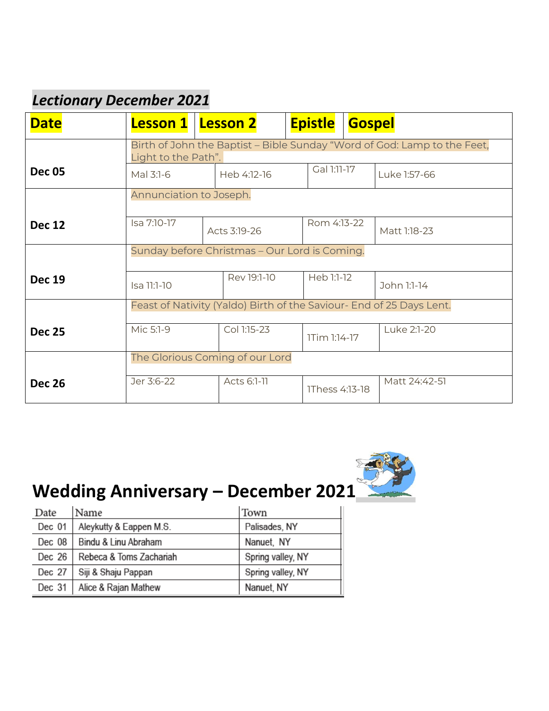## *Lectionary December 2021*

| <b>Date</b>   | <b>Lesson 1</b>                                                                                 |              | <b>Lesson 2</b> |  | <b>Epistle</b> | <b>Gospel</b> |               |
|---------------|-------------------------------------------------------------------------------------------------|--------------|-----------------|--|----------------|---------------|---------------|
|               | Birth of John the Baptist – Bible Sunday "Word of God: Lamp to the Feet,<br>Light to the Path". |              |                 |  |                |               |               |
| <b>Dec 05</b> | Mal 3:1-6                                                                                       |              | Heb 4:12-16     |  | Gal 1:11-17    |               | Luke 1:57-66  |
|               | Annunciation to Joseph.                                                                         |              |                 |  |                |               |               |
| <b>Dec 12</b> | Isa 7:10-17                                                                                     | Acts 3:19-26 |                 |  | Rom 4:13-22    |               | Matt 1:18-23  |
|               | Sunday before Christmas - Our Lord is Coming.                                                   |              |                 |  |                |               |               |
| <b>Dec 19</b> | Isa 11:1-10                                                                                     |              | Rev 19:1-10     |  |                | Heb 1:1-12    | John 1:1-14   |
|               | Feast of Nativity (Yaldo) Birth of the Saviour- End of 25 Days Lent.                            |              |                 |  |                |               |               |
| <b>Dec 25</b> | Mic 5:1-9                                                                                       |              | Col 1:15-23     |  | 1Tim 1:14-17   |               | Luke 2:1-20   |
|               | The Glorious Coming of our Lord                                                                 |              |                 |  |                |               |               |
| <b>Dec 26</b> | Jer 3:6-22                                                                                      |              | Acts 6:1-11     |  | 1Thess 4:13-18 |               | Matt 24:42-51 |



## **Wedding Anniversary – December 2021**

| Date   | Name                    | Town              |
|--------|-------------------------|-------------------|
| Dec 01 | Aleykutty & Eappen M.S. | Palisades, NY     |
| Dec 08 | Bindu & Linu Abraham    | Nanuet, NY        |
| Dec 26 | Rebeca & Toms Zachariah | Spring valley, NY |
| Dec 27 | Siji & Shaju Pappan     | Spring valley, NY |
| Dec 31 | Alice & Rajan Mathew    | Nanuet, NY        |